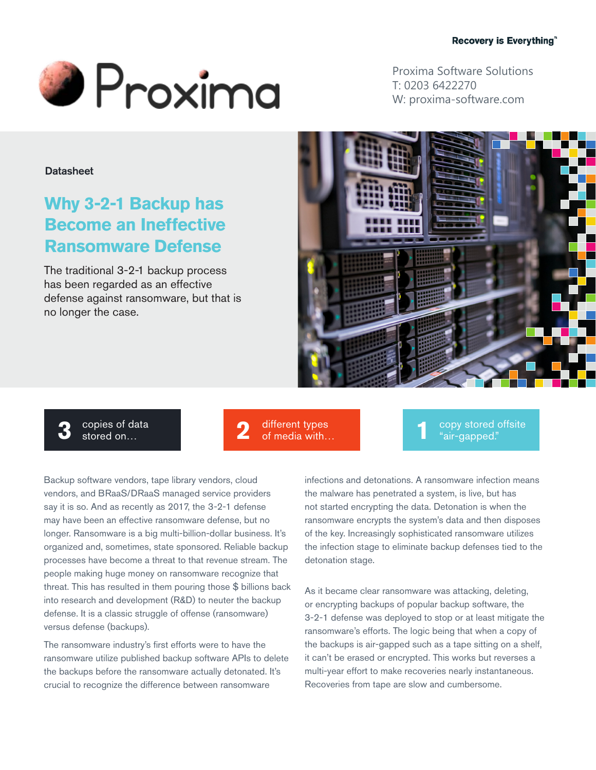

Proxima Software Solutions T: 0203 6422270 W: proxima-software.com

**Datasheet** 

## **Why 3-2-1 Backup has Become an Ineffective Ransomware Defense**

The traditional 3-2-1 backup process has been regarded as an effective defense against ransomware, but that is no longer the case.



**3** copies of data **2** different types stored on…

different types **1** copy stored offsite<br>of media with… **1** copy stored of "air-qapped." "air-gapped."

Backup software vendors, tape library vendors, cloud vendors, and BRaaS/DRaaS managed service providers say it is so. And as recently as 2017, the 3-2-1 defense may have been an effective ransomware defense, but no longer. Ransomware is a big multi-billion-dollar business. It's organized and, sometimes, state sponsored. Reliable backup processes have become a threat to that revenue stream. The people making huge money on ransomware recognize that threat. This has resulted in them pouring those \$ billions back into research and development (R&D) to neuter the backup defense. It is a classic struggle of offense (ransomware) versus defense (backups).

The ransomware industry's first efforts were to have the ransomware utilize published backup software APIs to delete the backups before the ransomware actually detonated. It's crucial to recognize the difference between ransomware

infections and detonations. A ransomware infection means the malware has penetrated a system, is live, but has not started encrypting the data. Detonation is when the ransomware encrypts the system's data and then disposes of the key. Increasingly sophisticated ransomware utilizes the infection stage to eliminate backup defenses tied to the detonation stage.

As it became clear ransomware was attacking, deleting, or encrypting backups of popular backup software, the 3-2-1 defense was deployed to stop or at least mitigate the ransomware's efforts. The logic being that when a copy of the backups is air-gapped such as a tape sitting on a shelf, it can't be erased or encrypted. This works but reverses a multi-year effort to make recoveries nearly instantaneous. Recoveries from tape are slow and cumbersome.